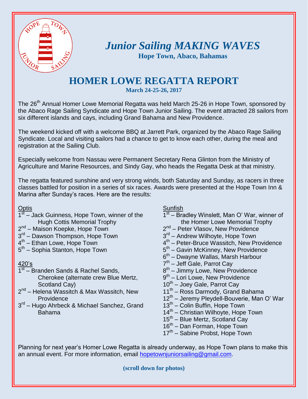

## *Junior Sailing MAKING WAVES* **Hope Town, Abaco, Bahamas**

## **HOMER LOWE REGATTA REPORT**

**March 24-25-26, 2017**

The 26<sup>th</sup> Annual Homer Lowe Memorial Regatta was held March 25-26 in Hope Town, sponsored by the Abaco Rage Sailing Syndicate and Hope Town Junior Sailing. The event attracted 28 sailors from six different islands and cays, including Grand Bahama and New Providence.

The weekend kicked off with a welcome BBQ at Jarrett Park, organized by the Abaco Rage Sailing Syndicate. Local and visiting sailors had a chance to get to know each other, during the meal and registration at the Sailing Club.

Especially welcome from Nassau were Permanent Secretary Rena Glinton from the Ministry of Agriculture and Marine Resources, and Sindy Gay, who heads the Regatta Desk at that ministry.

The regatta featured sunshine and very strong winds, both Saturday and Sunday, as racers in three classes battled for position in a series of six races. Awards were presented at the Hope Town Inn & Marina after Sunday's races. Here are the results:

**Optis** 

- $\overline{1^{st}}$  Jack Guinness, Hope Town, winner of the Hugh Cottis Memorial Trophy
- 2<sup>nd</sup> Maison Koepke, Hope Town
- 3<sup>rd</sup> Dawson Thompson, Hope Town
- 4<sup>th</sup> Ethan Lowe, Hope Town
- 5<sup>th</sup> Sophia Stanton, Hope Town

420's

- 1st Branden Sands & Rachel Sands, Cherokee (alternate crew Blue Mertz, Scotland Cay)
- 2<sup>nd</sup> Helena Wassitch & Max Wassitch, New **Providence**
- 3<sup>rd</sup> Hugo Ahrbeck & Michael Sanchez, Grand Bahama

Sunfish

- 1<sup>st</sup> Bradley Winslett, Man O' War, winner of the Homer Lowe Memorial Trophy
- 2<sup>nd</sup> Peter Vlasov, New Providence
- 3<sup>rd</sup> Andrew Wilhoyte, Hope Town
- 4<sup>th</sup> Peter-Bruce Wassitch, New Providence
- 5<sup>th</sup> Gavin McKinney, New Providence
- 6<sup>th</sup> Dwayne Wallas, Marsh Harbour
- 7<sup>th</sup> Jeff Gale, Parrot Cay
- 8<sup>th</sup> Jimmy Lowe, New Providence
- 9<sup>th</sup> Lori Lowe, New Providence
- 10<sup>th</sup> Joey Gale, Parrot Cay
- 11<sup>th</sup> Ross Darmody, Grand Bahama
- 12<sup>th</sup> Jeremy Pleydell-Bouverie, Man O' War
- 13<sup>th</sup> Colin Buffin, Hope Town
- 14<sup>th</sup> Christian Wilhoyte, Hope Town
- 15<sup>th</sup> Blue Mertz, Scotland Cay
- 16<sup>th</sup> Dan Forman, Hope Town
- 17<sup>th</sup> Sabine Probst, Hope Town

Planning for next year's Homer Lowe Regatta is already underway, as Hope Town plans to make this an annual event. For more information, email [hopetownjuniorsailing@gmail.com.](mailto:hopetownjuniorsailing@gmail.com)

**(scroll down for photos)**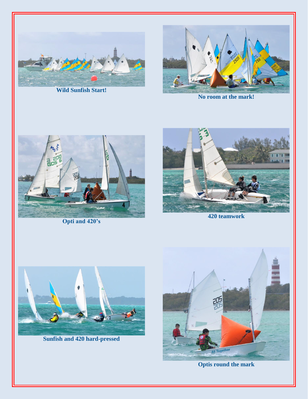

**Wild Sunfish Start!**



**No room at the mark!**



**Opti and 420's**



**420 teamwork**



**Sunfish and 420 hard-pressed**



**Optis round the mark**